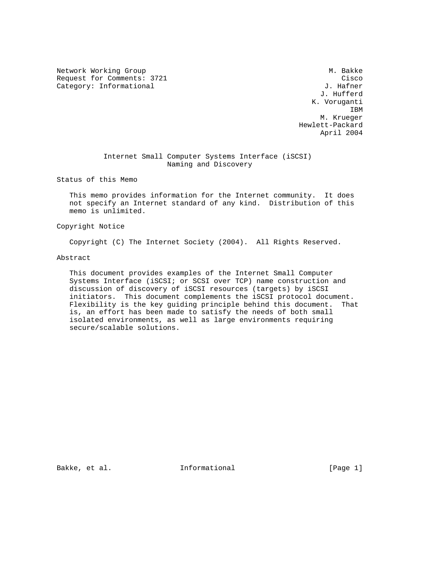Network Working Group Methods and the Music Control of Music Control of Music Control of Music Control of Music Control of Music Control of Music Control of Music Control of Music Control of Music Control of Music Control Request for Comments: 3721 Cisco<br>Category: Informational Category: Informational J. Hafner Category: Informational

 J. Hufferd K. Voruganti **IBM IBM**  M. Krueger Hewlett-Packard April 2004

# Internet Small Computer Systems Interface (iSCSI) Naming and Discovery

Status of this Memo

 This memo provides information for the Internet community. It does not specify an Internet standard of any kind. Distribution of this memo is unlimited.

Copyright Notice

Copyright (C) The Internet Society (2004). All Rights Reserved.

#### Abstract

 This document provides examples of the Internet Small Computer Systems Interface (iSCSI; or SCSI over TCP) name construction and discussion of discovery of iSCSI resources (targets) by iSCSI initiators. This document complements the iSCSI protocol document. Flexibility is the key guiding principle behind this document. That is, an effort has been made to satisfy the needs of both small isolated environments, as well as large environments requiring secure/scalable solutions.

Bakke, et al.  $I_n$  Informational [Page 1]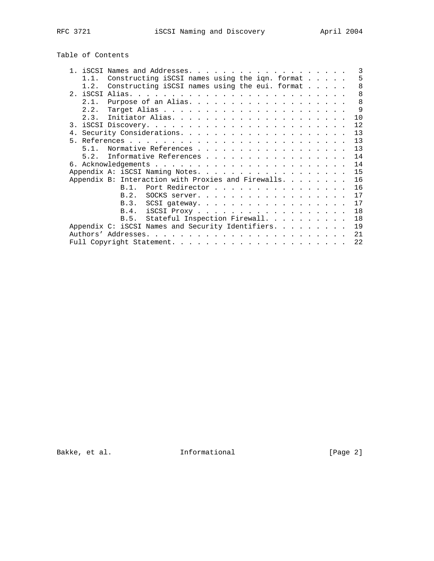# Table of Contents

|      |                                                              |                                    |  |  |  |  |  |  |  |  |  | 3            |
|------|--------------------------------------------------------------|------------------------------------|--|--|--|--|--|--|--|--|--|--------------|
| 1.1. | Constructing iSCSI names using the iqn. format               |                                    |  |  |  |  |  |  |  |  |  | 5            |
| 1.2. | Constructing iSCSI names using the eui. format               |                                    |  |  |  |  |  |  |  |  |  | 8            |
|      |                                                              |                                    |  |  |  |  |  |  |  |  |  | 8            |
| 2.1. | Purpose of an Alias.                                         |                                    |  |  |  |  |  |  |  |  |  | $\mathsf{R}$ |
| 2.2. |                                                              |                                    |  |  |  |  |  |  |  |  |  | 9            |
| 2.3. |                                                              |                                    |  |  |  |  |  |  |  |  |  | 10           |
|      |                                                              |                                    |  |  |  |  |  |  |  |  |  | 12           |
|      |                                                              |                                    |  |  |  |  |  |  |  |  |  | 13           |
|      |                                                              |                                    |  |  |  |  |  |  |  |  |  | 13           |
| 51   | Normative References                                         |                                    |  |  |  |  |  |  |  |  |  | 13           |
| 52   | Informative References                                       |                                    |  |  |  |  |  |  |  |  |  | 14           |
|      |                                                              |                                    |  |  |  |  |  |  |  |  |  | 14           |
|      |                                                              |                                    |  |  |  |  |  |  |  |  |  |              |
|      | Appendix A: iSCSI Naming Notes.                              |                                    |  |  |  |  |  |  |  |  |  | 15           |
|      | Appendix B: Interaction with Proxies and Firewalls. $\ldots$ |                                    |  |  |  |  |  |  |  |  |  | 16           |
|      | R 1                                                          | Port Redirector                    |  |  |  |  |  |  |  |  |  | 16           |
|      | B.2.                                                         | SOCKS server.                      |  |  |  |  |  |  |  |  |  | 17           |
|      | B.3.                                                         |                                    |  |  |  |  |  |  |  |  |  | 17           |
|      | <b>B.4.</b>                                                  | iSCSI Proxy                        |  |  |  |  |  |  |  |  |  | 18           |
|      |                                                              | B.5. Stateful Inspection Firewall. |  |  |  |  |  |  |  |  |  | 18           |
|      | Appendix C: iSCSI Names and Security Identifiers.            |                                    |  |  |  |  |  |  |  |  |  | 19           |
|      |                                                              |                                    |  |  |  |  |  |  |  |  |  | 21           |
|      |                                                              |                                    |  |  |  |  |  |  |  |  |  | 22           |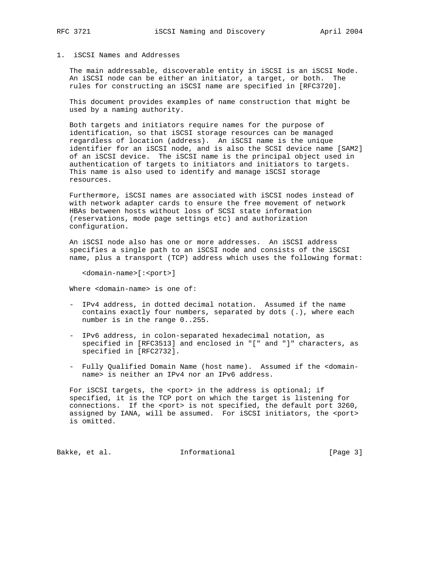#### 1. iSCSI Names and Addresses

 The main addressable, discoverable entity in iSCSI is an iSCSI Node. An iSCSI node can be either an initiator, a target, or both. The rules for constructing an iSCSI name are specified in [RFC3720].

 This document provides examples of name construction that might be used by a naming authority.

 Both targets and initiators require names for the purpose of identification, so that iSCSI storage resources can be managed regardless of location (address). An iSCSI name is the unique identifier for an iSCSI node, and is also the SCSI device name [SAM2] of an iSCSI device. The iSCSI name is the principal object used in authentication of targets to initiators and initiators to targets. This name is also used to identify and manage iSCSI storage resources.

 Furthermore, iSCSI names are associated with iSCSI nodes instead of with network adapter cards to ensure the free movement of network HBAs between hosts without loss of SCSI state information (reservations, mode page settings etc) and authorization configuration.

 An iSCSI node also has one or more addresses. An iSCSI address specifies a single path to an iSCSI node and consists of the iSCSI name, plus a transport (TCP) address which uses the following format:

<domain-name>[:<port>]

Where <domain-name> is one of:

- IPv4 address, in dotted decimal notation. Assumed if the name contains exactly four numbers, separated by dots (.), where each number is in the range 0..255.
- IPv6 address, in colon-separated hexadecimal notation, as specified in [RFC3513] and enclosed in "[" and "]" characters, as specified in [RFC2732].
- Fully Qualified Domain Name (host name). Assumed if the <domain name> is neither an IPv4 nor an IPv6 address.

For iSCSI targets, the <port> in the address is optional; if specified, it is the TCP port on which the target is listening for connections. If the <port> is not specified, the default port 3260, assigned by IANA, will be assumed. For iSCSI initiators, the <port> is omitted.

Bakke, et al. 1nformational 1998 [Page 3]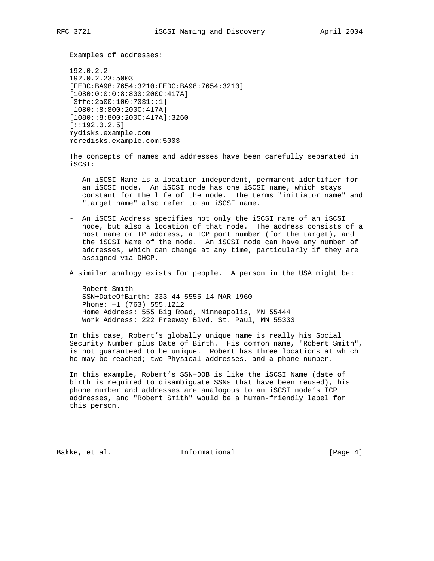Examples of addresses:

 192.0.2.2 192.0.2.23:5003 [FEDC:BA98:7654:3210:FEDC:BA98:7654:3210] [1080:0:0:0:8:800:200C:417A] [3ffe:2a00:100:7031::1] [1080::8:800:200C:417A] [1080::8:800:200C:417A]:3260  $[::192.0.2.5]$  mydisks.example.com moredisks.example.com:5003

 The concepts of names and addresses have been carefully separated in iSCSI:

- An iSCSI Name is a location-independent, permanent identifier for an iSCSI node. An iSCSI node has one iSCSI name, which stays constant for the life of the node. The terms "initiator name" and "target name" also refer to an iSCSI name.
- An iSCSI Address specifies not only the iSCSI name of an iSCSI node, but also a location of that node. The address consists of a host name or IP address, a TCP port number (for the target), and the iSCSI Name of the node. An iSCSI node can have any number of addresses, which can change at any time, particularly if they are assigned via DHCP.
- A similar analogy exists for people. A person in the USA might be:

 Robert Smith SSN+DateOfBirth: 333-44-5555 14-MAR-1960 Phone: +1 (763) 555.1212 Home Address: 555 Big Road, Minneapolis, MN 55444 Work Address: 222 Freeway Blvd, St. Paul, MN 55333

 In this case, Robert's globally unique name is really his Social Security Number plus Date of Birth. His common name, "Robert Smith", is not guaranteed to be unique. Robert has three locations at which he may be reached; two Physical addresses, and a phone number.

 In this example, Robert's SSN+DOB is like the iSCSI Name (date of birth is required to disambiguate SSNs that have been reused), his phone number and addresses are analogous to an iSCSI node's TCP addresses, and "Robert Smith" would be a human-friendly label for this person.

Bakke, et al. 1nformational 1998 [Page 4]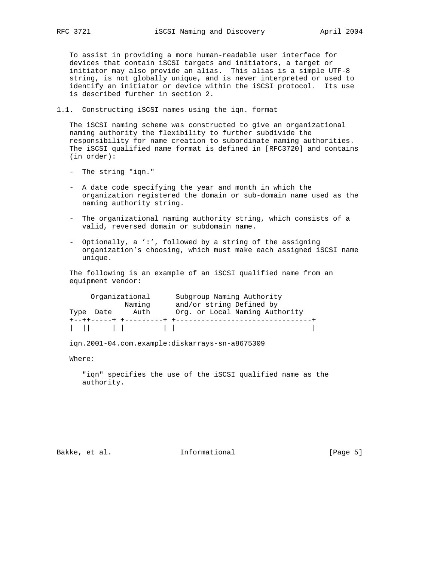To assist in providing a more human-readable user interface for devices that contain iSCSI targets and initiators, a target or initiator may also provide an alias. This alias is a simple UTF-8 string, is not globally unique, and is never interpreted or used to identify an initiator or device within the iSCSI protocol. Its use is described further in section 2.

1.1. Constructing iSCSI names using the iqn. format

 The iSCSI naming scheme was constructed to give an organizational naming authority the flexibility to further subdivide the responsibility for name creation to subordinate naming authorities. The iSCSI qualified name format is defined in [RFC3720] and contains (in order):

- The string "iqn."
- A date code specifying the year and month in which the organization registered the domain or sub-domain name used as the naming authority string.
- The organizational naming authority string, which consists of a valid, reversed domain or subdomain name.
- Optionally, a ':', followed by a string of the assigning organization's choosing, which must make each assigned iSCSI name unique.

 The following is an example of an iSCSI qualified name from an equipment vendor:

| Organizational          |        | Subgroup Naming Authority           |  |
|-------------------------|--------|-------------------------------------|--|
|                         | Naming | and/or string Defined by            |  |
| Type Date               | Auth   | Org. or Local Naming Authority      |  |
| +--++-----+ +---------+ |        | - +-------------------------------- |  |
|                         |        |                                     |  |

iqn.2001-04.com.example:diskarrays-sn-a8675309

Where:

 "iqn" specifies the use of the iSCSI qualified name as the authority.

Bakke, et al. 1nformational 1999 [Page 5]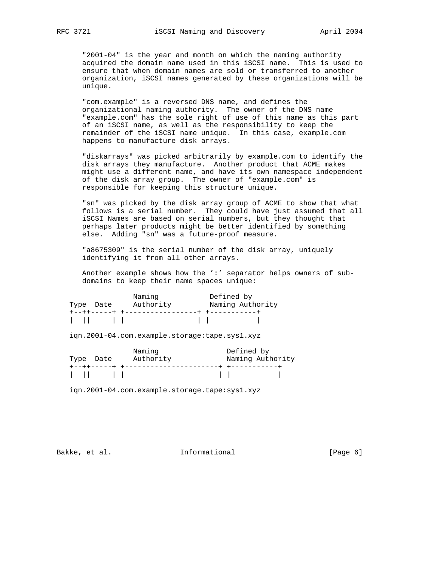"2001-04" is the year and month on which the naming authority acquired the domain name used in this iSCSI name. This is used to ensure that when domain names are sold or transferred to another organization, iSCSI names generated by these organizations will be unique.

 "com.example" is a reversed DNS name, and defines the organizational naming authority. The owner of the DNS name "example.com" has the sole right of use of this name as this part of an iSCSI name, as well as the responsibility to keep the remainder of the iSCSI name unique. In this case, example.com happens to manufacture disk arrays.

 "diskarrays" was picked arbitrarily by example.com to identify the disk arrays they manufacture. Another product that ACME makes might use a different name, and have its own namespace independent of the disk array group. The owner of "example.com" is responsible for keeping this structure unique.

 "sn" was picked by the disk array group of ACME to show that what follows is a serial number. They could have just assumed that all iSCSI Names are based on serial numbers, but they thought that perhaps later products might be better identified by something else. Adding "sn" was a future-proof measure.

 "a8675309" is the serial number of the disk array, uniquely identifying it from all other arrays.

 Another example shows how the ':' separator helps owners of sub domains to keep their name spaces unique:

|                                                                                                                                                                                         | Naming    | Defined by |                  |
|-----------------------------------------------------------------------------------------------------------------------------------------------------------------------------------------|-----------|------------|------------------|
| Type Date                                                                                                                                                                               | Authority |            | Naming Authority |
|                                                                                                                                                                                         |           |            |                  |
| $\begin{array}{ccc} \begin{array}{ccc} \end{array} & \begin{array}{ccc} \end{array} & \begin{array}{ccc} \end{array} & \begin{array}{ccc} \end{array} & \begin{array}{ccc} \end{array}$ |           |            |                  |

iqn.2001-04.com.example.storage:tape.sys1.xyz

|               | Naming    | Defined by       |
|---------------|-----------|------------------|
| Type Date     | Authority | Naming Authority |
|               |           |                  |
| $1 - 11 - 11$ |           |                  |

iqn.2001-04.com.example.storage.tape:sys1.xyz

Bakke, et al. 1nformational 1999 [Page 6]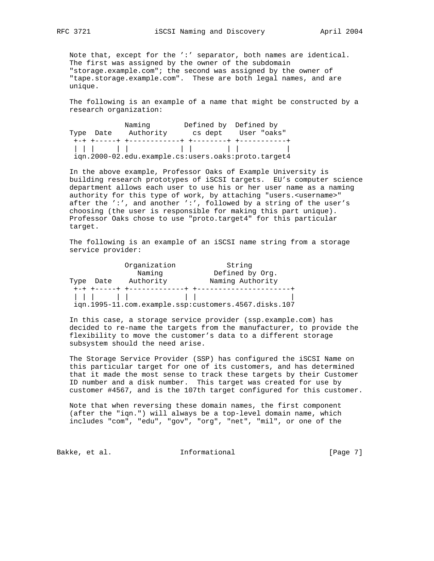Note that, except for the ':' separator, both names are identical. The first was assigned by the owner of the subdomain "storage.example.com"; the second was assigned by the owner of "tape.storage.example.com". These are both legal names, and are unique.

 The following is an example of a name that might be constructed by a research organization:

|           | Naminq                                              | Defined by Defined by |                          |
|-----------|-----------------------------------------------------|-----------------------|--------------------------|
| Type Date | Authority                                           |                       | cs dept User "oaks"      |
|           |                                                     |                       |                          |
|           |                                                     |                       | <b>Contract Contract</b> |
|           | ign.2000-02.edu.example.cs:users.oaks:proto.target4 |                       |                          |

 In the above example, Professor Oaks of Example University is building research prototypes of iSCSI targets. EU's computer science department allows each user to use his or her user name as a naming authority for this type of work, by attaching "users.<username>" after the ':', and another ':', followed by a string of the user's choosing (the user is responsible for making this part unique). Professor Oaks chose to use "proto.target4" for this particular target.

 The following is an example of an iSCSI name string from a storage service provider:

|            | Organization               | String                                               |  |
|------------|----------------------------|------------------------------------------------------|--|
|            | Naming                     | Defined by Org.                                      |  |
| Type Date  | Authority                  | Naming Authority                                     |  |
|            | +-+ +-----+ +------------- |                                                      |  |
| $111 - 11$ |                            |                                                      |  |
|            |                            | ign.1995-11.com.example.ssp:customers.4567.disks.107 |  |

 In this case, a storage service provider (ssp.example.com) has decided to re-name the targets from the manufacturer, to provide the flexibility to move the customer's data to a different storage subsystem should the need arise.

 The Storage Service Provider (SSP) has configured the iSCSI Name on this particular target for one of its customers, and has determined that it made the most sense to track these targets by their Customer ID number and a disk number. This target was created for use by customer #4567, and is the 107th target configured for this customer.

 Note that when reversing these domain names, the first component (after the "iqn.") will always be a top-level domain name, which includes "com", "edu", "gov", "org", "net", "mil", or one of the

Bakke, et al. 1nformational 1998 [Page 7]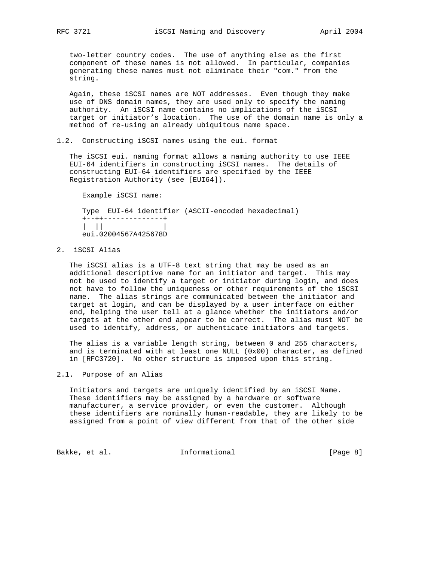two-letter country codes. The use of anything else as the first component of these names is not allowed. In particular, companies generating these names must not eliminate their "com." from the string.

 Again, these iSCSI names are NOT addresses. Even though they make use of DNS domain names, they are used only to specify the naming authority. An iSCSI name contains no implications of the iSCSI target or initiator's location. The use of the domain name is only a method of re-using an already ubiquitous name space.

1.2. Constructing iSCSI names using the eui. format

 The iSCSI eui. naming format allows a naming authority to use IEEE EUI-64 identifiers in constructing iSCSI names. The details of constructing EUI-64 identifiers are specified by the IEEE Registration Authority (see [EUI64]).

Example iSCSI name:

 Type EUI-64 identifier (ASCII-encoded hexadecimal) +--++--------------+ | || | eui.02004567A425678D

2. iSCSI Alias

 The iSCSI alias is a UTF-8 text string that may be used as an additional descriptive name for an initiator and target. This may not be used to identify a target or initiator during login, and does not have to follow the uniqueness or other requirements of the iSCSI name. The alias strings are communicated between the initiator and target at login, and can be displayed by a user interface on either end, helping the user tell at a glance whether the initiators and/or targets at the other end appear to be correct. The alias must NOT be used to identify, address, or authenticate initiators and targets.

 The alias is a variable length string, between 0 and 255 characters, and is terminated with at least one NULL  $(0x00)$  character, as defined in [RFC3720]. No other structure is imposed upon this string.

2.1. Purpose of an Alias

 Initiators and targets are uniquely identified by an iSCSI Name. These identifiers may be assigned by a hardware or software manufacturer, a service provider, or even the customer. Although these identifiers are nominally human-readable, they are likely to be assigned from a point of view different from that of the other side

Bakke, et al. 1nformational 1999 [Page 8]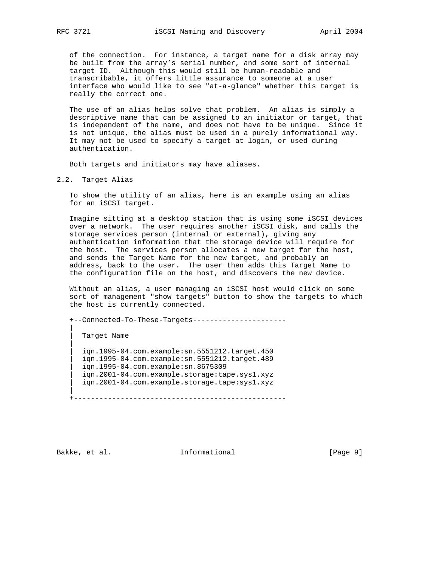of the connection. For instance, a target name for a disk array may be built from the array's serial number, and some sort of internal target ID. Although this would still be human-readable and transcribable, it offers little assurance to someone at a user interface who would like to see "at-a-glance" whether this target is really the correct one.

 The use of an alias helps solve that problem. An alias is simply a descriptive name that can be assigned to an initiator or target, that is independent of the name, and does not have to be unique. Since it is not unique, the alias must be used in a purely informational way. It may not be used to specify a target at login, or used during authentication.

Both targets and initiators may have aliases.

2.2. Target Alias

 To show the utility of an alias, here is an example using an alias for an iSCSI target.

 Imagine sitting at a desktop station that is using some iSCSI devices over a network. The user requires another iSCSI disk, and calls the storage services person (internal or external), giving any authentication information that the storage device will require for the host. The services person allocates a new target for the host, and sends the Target Name for the new target, and probably an address, back to the user. The user then adds this Target Name to the configuration file on the host, and discovers the new device.

 Without an alias, a user managing an iSCSI host would click on some sort of management "show targets" button to show the targets to which the host is currently connected.

+--Connected-To-These-Targets----------------------

Target Name || || || || | iqn.1995-04.com.example:sn.5551212.target.450 | iqn.1995-04.com.example:sn.5551212.target.489 | iqn.1995-04.com.example:sn.8675309 | iqn.2001-04.com.example.storage:tape.sys1.xyz | iqn.2001-04.com.example.storage.tape:sys1.xyz

+--------------------------------------------------

||

|| || || ||

Bakke, et al. 1nformational 1999 [Page 9]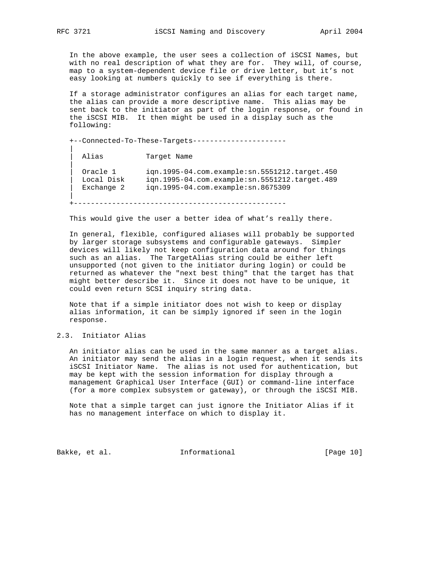In the above example, the user sees a collection of iSCSI Names, but with no real description of what they are for. They will, of course, map to a system-dependent device file or drive letter, but it's not easy looking at numbers quickly to see if everything is there.

 If a storage administrator configures an alias for each target name, the alias can provide a more descriptive name. This alias may be sent back to the initiator as part of the login response, or found in the iSCSI MIB. It then might be used in a display such as the following:

+--Connected-To-These-Targets----------------------

Alias Target Name | Oracle 1 iqn.1995-04.com.example:sn.5551212.target.450 | Local Disk iqn.1995-04.com.example:sn.5551212.target.489 | Exchange 2 iqn.1995-04.com.example:sn.8675309 +--------------------------------------------------

This would give the user a better idea of what's really there.

 In general, flexible, configured aliases will probably be supported by larger storage subsystems and configurable gateways. Simpler devices will likely not keep configuration data around for things such as an alias. The TargetAlias string could be either left unsupported (not given to the initiator during login) or could be returned as whatever the "next best thing" that the target has that might better describe it. Since it does not have to be unique, it could even return SCSI inquiry string data.

 Note that if a simple initiator does not wish to keep or display alias information, it can be simply ignored if seen in the login response.

# 2.3. Initiator Alias

 An initiator alias can be used in the same manner as a target alias. An initiator may send the alias in a login request, when it sends its iSCSI Initiator Name. The alias is not used for authentication, but may be kept with the session information for display through a management Graphical User Interface (GUI) or command-line interface (for a more complex subsystem or gateway), or through the iSCSI MIB.

 Note that a simple target can just ignore the Initiator Alias if it has no management interface on which to display it.

Bakke, et al. 1nformational [Page 10]

|| || || ||

||

|| || || ||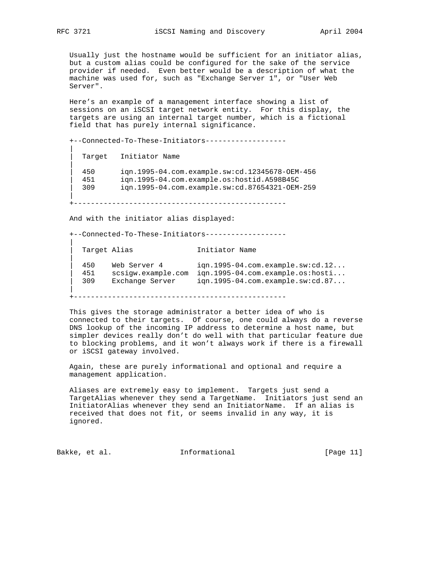Usually just the hostname would be sufficient for an initiator alias, but a custom alias could be configured for the sake of the service provider if needed. Even better would be a description of what the machine was used for, such as "Exchange Server 1", or "User Web Server".

 Here's an example of a management interface showing a list of sessions on an iSCSI target network entity. For this display, the targets are using an internal target number, which is a fictional field that has purely internal significance.

+--Connected-To-These-Initiators-------------------

Target Initiator Name || | 450 iqn.1995-04.com.example.sw:cd.12345678-OEM-456 | 451 iqn.1995-04.com.example.os:hostid.A598B45C | 309 iqn.1995-04.com.example.sw:cd.87654321-OEM-259 || || || ||

+--------------------------------------------------

And with the initiator alias displayed:

+--Connected-To-These-Initiators-------------------

Target Alias **Initiator Name**  | 450 Web Server 4 iqn.1995-04.com.example.sw:cd.12... | 451 scsigw.example.com iqn.1995-04.com.example.os:hosti... | 309 Exchange Server iqn.1995-04.com.example.sw:cd.87...

+--------------------------------------------------

 This gives the storage administrator a better idea of who is connected to their targets. Of course, one could always do a reverse DNS lookup of the incoming IP address to determine a host name, but simpler devices really don't do well with that particular feature due to blocking problems, and it won't always work if there is a firewall or iSCSI gateway involved.

 Again, these are purely informational and optional and require a management application.

 Aliases are extremely easy to implement. Targets just send a TargetAlias whenever they send a TargetName. Initiators just send an InitiatorAlias whenever they send an InitiatorName. If an alias is received that does not fit, or seems invalid in any way, it is ignored.

Bakke, et al. 10 Informational 1999 [Page 11]

|| || || ||

|| || || ||

||

|| || || ||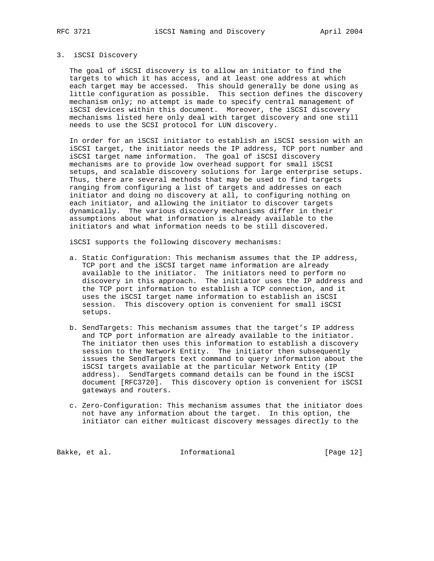#### 3. iSCSI Discovery

 The goal of iSCSI discovery is to allow an initiator to find the targets to which it has access, and at least one address at which each target may be accessed. This should generally be done using as little configuration as possible. This section defines the discovery mechanism only; no attempt is made to specify central management of iSCSI devices within this document. Moreover, the iSCSI discovery mechanisms listed here only deal with target discovery and one still needs to use the SCSI protocol for LUN discovery.

 In order for an iSCSI initiator to establish an iSCSI session with an iSCSI target, the initiator needs the IP address, TCP port number and iSCSI target name information. The goal of iSCSI discovery mechanisms are to provide low overhead support for small iSCSI setups, and scalable discovery solutions for large enterprise setups. Thus, there are several methods that may be used to find targets ranging from configuring a list of targets and addresses on each initiator and doing no discovery at all, to configuring nothing on each initiator, and allowing the initiator to discover targets dynamically. The various discovery mechanisms differ in their assumptions about what information is already available to the initiators and what information needs to be still discovered.

iSCSI supports the following discovery mechanisms:

- a. Static Configuration: This mechanism assumes that the IP address, TCP port and the iSCSI target name information are already available to the initiator. The initiators need to perform no discovery in this approach. The initiator uses the IP address and the TCP port information to establish a TCP connection, and it uses the iSCSI target name information to establish an iSCSI session. This discovery option is convenient for small iSCSI setups.
	- b. SendTargets: This mechanism assumes that the target's IP address and TCP port information are already available to the initiator. The initiator then uses this information to establish a discovery session to the Network Entity. The initiator then subsequently issues the SendTargets text command to query information about the iSCSI targets available at the particular Network Entity (IP address). SendTargets command details can be found in the iSCSI document [RFC3720]. This discovery option is convenient for iSCSI gateways and routers.
	- c. Zero-Configuration: This mechanism assumes that the initiator does not have any information about the target. In this option, the initiator can either multicast discovery messages directly to the

Bakke, et al. 10 Informational [Page 12]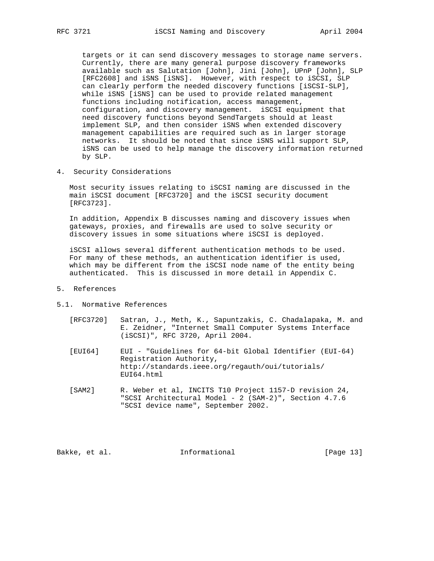targets or it can send discovery messages to storage name servers. Currently, there are many general purpose discovery frameworks available such as Salutation [John], Jini [John], UPnP [John], SLP [RFC2608] and iSNS [iSNS]. However, with respect to iSCSI, SLP can clearly perform the needed discovery functions [iSCSI-SLP], while iSNS [iSNS] can be used to provide related management functions including notification, access management, configuration, and discovery management. iSCSI equipment that need discovery functions beyond SendTargets should at least implement SLP, and then consider iSNS when extended discovery management capabilities are required such as in larger storage networks. It should be noted that since iSNS will support SLP, iSNS can be used to help manage the discovery information returned by SLP.

4. Security Considerations

 Most security issues relating to iSCSI naming are discussed in the main iSCSI document [RFC3720] and the iSCSI security document [RFC3723].

 In addition, Appendix B discusses naming and discovery issues when gateways, proxies, and firewalls are used to solve security or discovery issues in some situations where iSCSI is deployed.

 iSCSI allows several different authentication methods to be used. For many of these methods, an authentication identifier is used, which may be different from the iSCSI node name of the entity being authenticated. This is discussed in more detail in Appendix C.

- 5. References
- 5.1. Normative References
	- [RFC3720] Satran, J., Meth, K., Sapuntzakis, C. Chadalapaka, M. and E. Zeidner, "Internet Small Computer Systems Interface (iSCSI)", RFC 3720, April 2004.
	- [EUI64] EUI "Guidelines for 64-bit Global Identifier (EUI-64) Registration Authority, http://standards.ieee.org/regauth/oui/tutorials/ EUI64.html
	- [SAM2] R. Weber et al, INCITS T10 Project 1157-D revision 24, "SCSI Architectural Model - 2 (SAM-2)", Section 4.7.6 "SCSI device name", September 2002.

Bakke, et al. 1nformational [Page 13]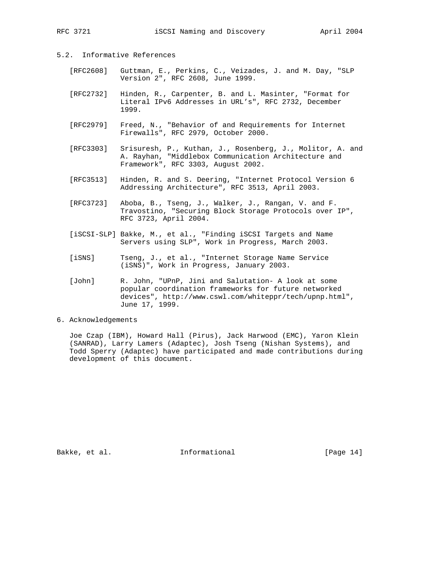# 5.2. Informative References

- [RFC2608] Guttman, E., Perkins, C., Veizades, J. and M. Day, "SLP Version 2", RFC 2608, June 1999.
- [RFC2732] Hinden, R., Carpenter, B. and L. Masinter, "Format for Literal IPv6 Addresses in URL's", RFC 2732, December 1999.
- [RFC2979] Freed, N., "Behavior of and Requirements for Internet Firewalls", RFC 2979, October 2000.
- [RFC3303] Srisuresh, P., Kuthan, J., Rosenberg, J., Molitor, A. and A. Rayhan, "Middlebox Communication Architecture and Framework", RFC 3303, August 2002.
- [RFC3513] Hinden, R. and S. Deering, "Internet Protocol Version 6 Addressing Architecture", RFC 3513, April 2003.
- [RFC3723] Aboba, B., Tseng, J., Walker, J., Rangan, V. and F. Travostino, "Securing Block Storage Protocols over IP", RFC 3723, April 2004.
- [iSCSI-SLP] Bakke, M., et al., "Finding iSCSI Targets and Name Servers using SLP", Work in Progress, March 2003.
- [iSNS] Tseng, J., et al., "Internet Storage Name Service (iSNS)", Work in Progress, January 2003.
- [John] R. John, "UPnP, Jini and Salutation- A look at some popular coordination frameworks for future networked devices", http://www.cswl.com/whiteppr/tech/upnp.html", June 17, 1999.

# 6. Acknowledgements

 Joe Czap (IBM), Howard Hall (Pirus), Jack Harwood (EMC), Yaron Klein (SANRAD), Larry Lamers (Adaptec), Josh Tseng (Nishan Systems), and Todd Sperry (Adaptec) have participated and made contributions during development of this document.

Bakke, et al. 1nformational [Page 14]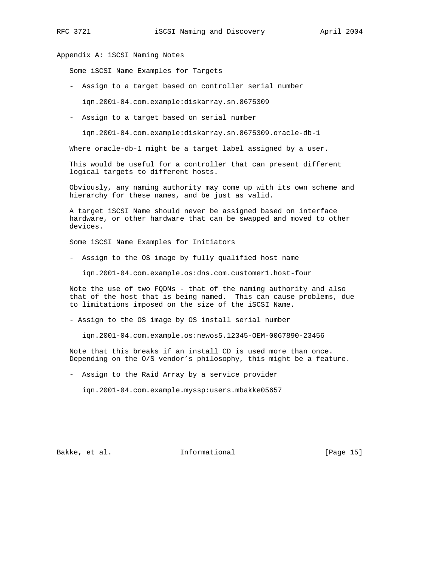Appendix A: iSCSI Naming Notes

Some iSCSI Name Examples for Targets

- Assign to a target based on controller serial number

iqn.2001-04.com.example:diskarray.sn.8675309

- Assign to a target based on serial number

iqn.2001-04.com.example:diskarray.sn.8675309.oracle-db-1

Where oracle-db-1 might be a target label assigned by a user.

 This would be useful for a controller that can present different logical targets to different hosts.

 Obviously, any naming authority may come up with its own scheme and hierarchy for these names, and be just as valid.

 A target iSCSI Name should never be assigned based on interface hardware, or other hardware that can be swapped and moved to other devices.

Some iSCSI Name Examples for Initiators

- Assign to the OS image by fully qualified host name

iqn.2001-04.com.example.os:dns.com.customer1.host-four

 Note the use of two FQDNs - that of the naming authority and also that of the host that is being named. This can cause problems, due to limitations imposed on the size of the iSCSI Name.

- Assign to the OS image by OS install serial number

iqn.2001-04.com.example.os:newos5.12345-OEM-0067890-23456

 Note that this breaks if an install CD is used more than once. Depending on the O/S vendor's philosophy, this might be a feature.

- Assign to the Raid Array by a service provider

iqn.2001-04.com.example.myssp:users.mbakke05657

Bakke, et al. 10 mm informational 1999 [Page 15]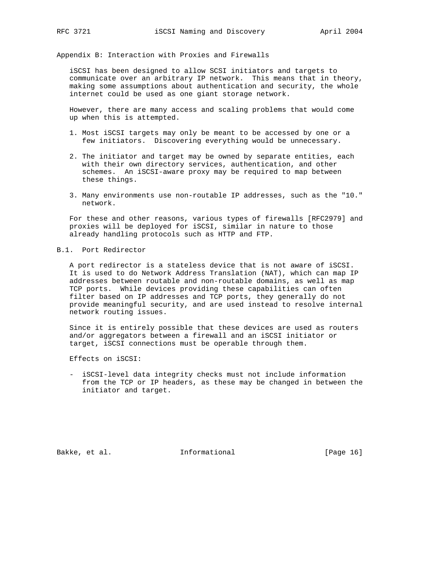Appendix B: Interaction with Proxies and Firewalls

 iSCSI has been designed to allow SCSI initiators and targets to communicate over an arbitrary IP network. This means that in theory, making some assumptions about authentication and security, the whole internet could be used as one giant storage network.

 However, there are many access and scaling problems that would come up when this is attempted.

- 1. Most iSCSI targets may only be meant to be accessed by one or a few initiators. Discovering everything would be unnecessary.
- 2. The initiator and target may be owned by separate entities, each with their own directory services, authentication, and other schemes. An iSCSI-aware proxy may be required to map between these things.
- 3. Many environments use non-routable IP addresses, such as the "10." network.

 For these and other reasons, various types of firewalls [RFC2979] and proxies will be deployed for iSCSI, similar in nature to those already handling protocols such as HTTP and FTP.

B.1. Port Redirector

 A port redirector is a stateless device that is not aware of iSCSI. It is used to do Network Address Translation (NAT), which can map IP addresses between routable and non-routable domains, as well as map TCP ports. While devices providing these capabilities can often filter based on IP addresses and TCP ports, they generally do not provide meaningful security, and are used instead to resolve internal network routing issues.

 Since it is entirely possible that these devices are used as routers and/or aggregators between a firewall and an iSCSI initiator or target, iSCSI connections must be operable through them.

Effects on iSCSI:

 - iSCSI-level data integrity checks must not include information from the TCP or IP headers, as these may be changed in between the initiator and target.

Bakke, et al. 1nformational [Page 16]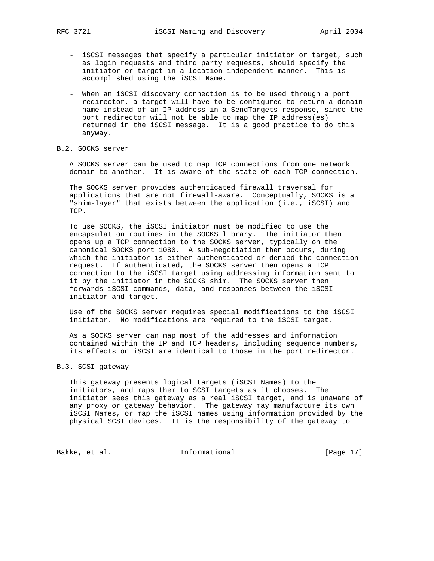- iSCSI messages that specify a particular initiator or target, such as login requests and third party requests, should specify the initiator or target in a location-independent manner. This is accomplished using the iSCSI Name.
- When an iSCSI discovery connection is to be used through a port redirector, a target will have to be configured to return a domain name instead of an IP address in a SendTargets response, since the port redirector will not be able to map the IP address(es) returned in the iSCSI message. It is a good practice to do this anyway.

# B.2. SOCKS server

 A SOCKS server can be used to map TCP connections from one network domain to another. It is aware of the state of each TCP connection.

 The SOCKS server provides authenticated firewall traversal for applications that are not firewall-aware. Conceptually, SOCKS is a "shim-layer" that exists between the application (i.e., iSCSI) and TCP.

 To use SOCKS, the iSCSI initiator must be modified to use the encapsulation routines in the SOCKS library. The initiator then opens up a TCP connection to the SOCKS server, typically on the canonical SOCKS port 1080. A sub-negotiation then occurs, during which the initiator is either authenticated or denied the connection request. If authenticated, the SOCKS server then opens a TCP connection to the iSCSI target using addressing information sent to it by the initiator in the SOCKS shim. The SOCKS server then forwards iSCSI commands, data, and responses between the iSCSI initiator and target.

 Use of the SOCKS server requires special modifications to the iSCSI initiator. No modifications are required to the iSCSI target.

 As a SOCKS server can map most of the addresses and information contained within the IP and TCP headers, including sequence numbers, its effects on iSCSI are identical to those in the port redirector.

# B.3. SCSI gateway

 This gateway presents logical targets (iSCSI Names) to the initiators, and maps them to SCSI targets as it chooses. The initiator sees this gateway as a real iSCSI target, and is unaware of any proxy or gateway behavior. The gateway may manufacture its own iSCSI Names, or map the iSCSI names using information provided by the physical SCSI devices. It is the responsibility of the gateway to

Bakke, et al. 10 Informational 1999 [Page 17]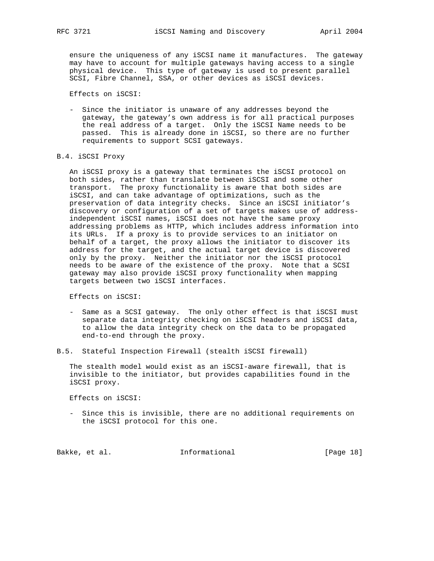ensure the uniqueness of any iSCSI name it manufactures. The gateway may have to account for multiple gateways having access to a single physical device. This type of gateway is used to present parallel SCSI, Fibre Channel, SSA, or other devices as iSCSI devices.

Effects on iSCSI:

 - Since the initiator is unaware of any addresses beyond the gateway, the gateway's own address is for all practical purposes the real address of a target. Only the iSCSI Name needs to be passed. This is already done in iSCSI, so there are no further requirements to support SCSI gateways.

#### B.4. iSCSI Proxy

 An iSCSI proxy is a gateway that terminates the iSCSI protocol on both sides, rather than translate between iSCSI and some other transport. The proxy functionality is aware that both sides are iSCSI, and can take advantage of optimizations, such as the preservation of data integrity checks. Since an iSCSI initiator's discovery or configuration of a set of targets makes use of address independent iSCSI names, iSCSI does not have the same proxy addressing problems as HTTP, which includes address information into its URLs. If a proxy is to provide services to an initiator on behalf of a target, the proxy allows the initiator to discover its address for the target, and the actual target device is discovered only by the proxy. Neither the initiator nor the iSCSI protocol needs to be aware of the existence of the proxy. Note that a SCSI gateway may also provide iSCSI proxy functionality when mapping targets between two iSCSI interfaces.

Effects on iSCSI:

 - Same as a SCSI gateway. The only other effect is that iSCSI must separate data integrity checking on iSCSI headers and iSCSI data, to allow the data integrity check on the data to be propagated end-to-end through the proxy.

B.5. Stateful Inspection Firewall (stealth iSCSI firewall)

 The stealth model would exist as an iSCSI-aware firewall, that is invisible to the initiator, but provides capabilities found in the iSCSI proxy.

Effects on iSCSI:

 - Since this is invisible, there are no additional requirements on the iSCSI protocol for this one.

Bakke, et al. 1nformational [Page 18]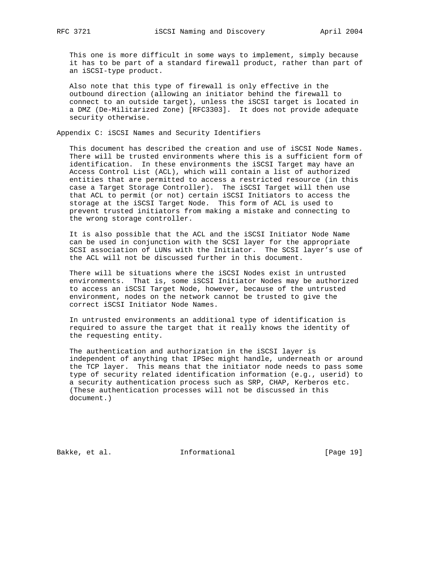This one is more difficult in some ways to implement, simply because it has to be part of a standard firewall product, rather than part of an iSCSI-type product.

 Also note that this type of firewall is only effective in the outbound direction (allowing an initiator behind the firewall to connect to an outside target), unless the iSCSI target is located in a DMZ (De-Militarized Zone) [RFC3303]. It does not provide adequate security otherwise.

Appendix C: iSCSI Names and Security Identifiers

 This document has described the creation and use of iSCSI Node Names. There will be trusted environments where this is a sufficient form of identification. In these environments the iSCSI Target may have an Access Control List (ACL), which will contain a list of authorized entities that are permitted to access a restricted resource (in this case a Target Storage Controller). The iSCSI Target will then use that ACL to permit (or not) certain iSCSI Initiators to access the storage at the iSCSI Target Node. This form of ACL is used to prevent trusted initiators from making a mistake and connecting to the wrong storage controller.

 It is also possible that the ACL and the iSCSI Initiator Node Name can be used in conjunction with the SCSI layer for the appropriate SCSI association of LUNs with the Initiator. The SCSI layer's use of the ACL will not be discussed further in this document.

 There will be situations where the iSCSI Nodes exist in untrusted environments. That is, some iSCSI Initiator Nodes may be authorized to access an iSCSI Target Node, however, because of the untrusted environment, nodes on the network cannot be trusted to give the correct iSCSI Initiator Node Names.

 In untrusted environments an additional type of identification is required to assure the target that it really knows the identity of the requesting entity.

 The authentication and authorization in the iSCSI layer is independent of anything that IPSec might handle, underneath or around the TCP layer. This means that the initiator node needs to pass some type of security related identification information (e.g., userid) to a security authentication process such as SRP, CHAP, Kerberos etc. (These authentication processes will not be discussed in this document.)

Bakke, et al. 1nformational [Page 19]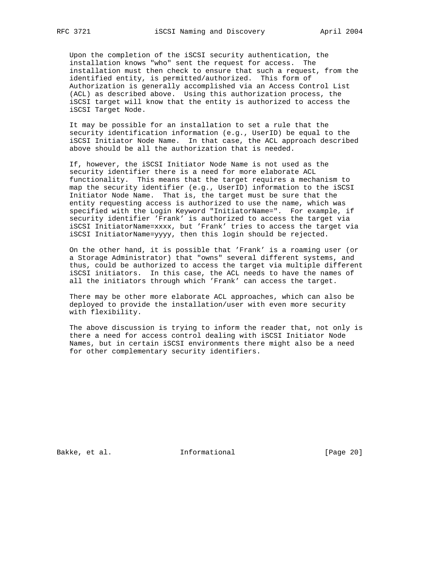Upon the completion of the iSCSI security authentication, the installation knows "who" sent the request for access. The installation must then check to ensure that such a request, from the identified entity, is permitted/authorized. This form of Authorization is generally accomplished via an Access Control List (ACL) as described above. Using this authorization process, the iSCSI target will know that the entity is authorized to access the iSCSI Target Node.

 It may be possible for an installation to set a rule that the security identification information (e.g., UserID) be equal to the iSCSI Initiator Node Name. In that case, the ACL approach described above should be all the authorization that is needed.

 If, however, the iSCSI Initiator Node Name is not used as the security identifier there is a need for more elaborate ACL functionality. This means that the target requires a mechanism to map the security identifier (e.g., UserID) information to the iSCSI Initiator Node Name. That is, the target must be sure that the entity requesting access is authorized to use the name, which was specified with the Login Keyword "InitiatorName=". For example, if security identifier 'Frank' is authorized to access the target via iSCSI InitiatorName=xxxx, but 'Frank' tries to access the target via iSCSI InitiatorName=yyyy, then this login should be rejected.

 On the other hand, it is possible that 'Frank' is a roaming user (or a Storage Administrator) that "owns" several different systems, and thus, could be authorized to access the target via multiple different iSCSI initiators. In this case, the ACL needs to have the names of all the initiators through which 'Frank' can access the target.

 There may be other more elaborate ACL approaches, which can also be deployed to provide the installation/user with even more security with flexibility.

 The above discussion is trying to inform the reader that, not only is there a need for access control dealing with iSCSI Initiator Node Names, but in certain iSCSI environments there might also be a need for other complementary security identifiers.

Bakke, et al. 1nformational [Page 20]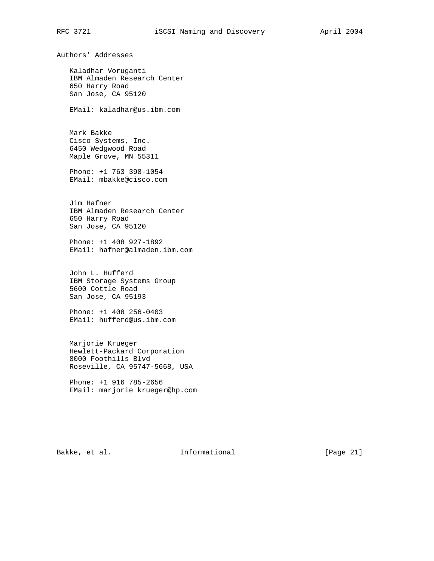Authors' Addresses

 Kaladhar Voruganti IBM Almaden Research Center 650 Harry Road San Jose, CA 95120

EMail: kaladhar@us.ibm.com

 Mark Bakke Cisco Systems, Inc. 6450 Wedgwood Road Maple Grove, MN 55311

 Phone: +1 763 398-1054 EMail: mbakke@cisco.com

 Jim Hafner IBM Almaden Research Center 650 Harry Road San Jose, CA 95120

 Phone: +1 408 927-1892 EMail: hafner@almaden.ibm.com

 John L. Hufferd IBM Storage Systems Group 5600 Cottle Road San Jose, CA 95193

 Phone: +1 408 256-0403 EMail: hufferd@us.ibm.com

 Marjorie Krueger Hewlett-Packard Corporation 8000 Foothills Blvd Roseville, CA 95747-5668, USA

 Phone: +1 916 785-2656 EMail: marjorie\_krueger@hp.com

Bakke, et al. 1nformational [Page 21]